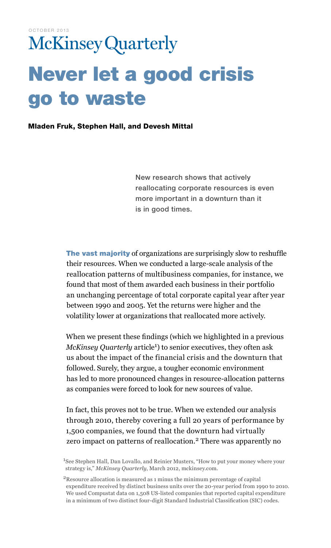# **McKinsey Quarterly** Never let a good crisis go to waste

Mladen Fruk, Stephen Hall, and Devesh Mittal

New research shows that actively reallocating corporate resources is even more important in a downturn than it is in good times.

The vast majority of organizations are surprisingly slow to reshuffle their resources. When we conducted a large-scale analysis of the reallocation patterns of multibusiness companies, for instance, we found that most of them awarded each business in their portfolio an unchanging percentage of total corporate capital year after year between 1990 and 2005. Yet the returns were higher and the volatility lower at organizations that reallocated more actively.

When we present these findings (which we highlighted in a previous McKinsey Quarterly article<sup>1</sup>) to senior executives, they often ask us about the impact of the financial crisis and the downturn that followed. Surely, they argue, a tougher economic environment has led to more pronounced changes in resource-allocation patterns as companies were forced to look for new sources of value.

In fact, this proves not to be true. When we extended our analysis through 2010, thereby covering a full 20 years of performance by 1,500 companies, we found that the downturn had virtually zero impact on patterns of reallocation.<sup>2</sup> There was apparently no

<sup>1</sup>See Stephen Hall, Dan Lovallo, and Reinier Musters, "How to put your money where your strategy is," *McKinsey Quarterly*, March 2012, mckinsey.com.

<sup>2</sup>Resource allocation is measured as 1 minus the minimum percentage of capital expenditure received by distinct business units over the 20-year period from 1990 to 2010. We used Compustat data on 1,508 US-listed companies that reported capital expenditure in a minimum of two distinct four-digit Standard Industrial Classification (SIC) codes.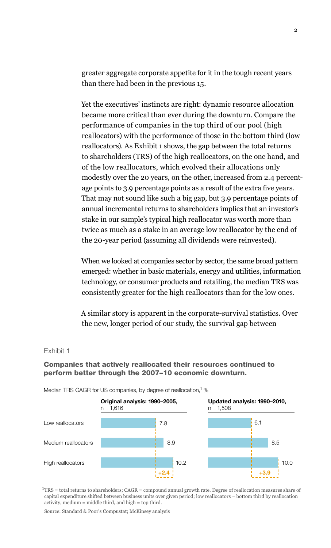greater aggregate corporate appetite for it in the tough recent years than there had been in the previous 15.

Yet the executives' instincts are right: dynamic resource allocation became more critical than ever during the downturn. Compare the performance of companies in the top third of our pool (high reallocators) with the performance of those in the bottom third (low reallocators). As Exhibit 1 shows, the gap between the total returns to shareholders (TRS) of the high reallocators, on the one hand, and of the low reallocators, which evolved their allocations only modestly over the 20 years, on the other, increased from 2.4 percentage points to 3.9 percentage points as a result of the extra five years. That may not sound like such a big gap, but 3.9 percentage points of annual incremental returns to shareholders implies that an investor's stake in our sample's typical high reallocator was worth more than twice as much as a stake in an average low reallocator by the end of the 20-year period (assuming all dividends were reinvested).

When we looked at companies sector by sector, the same broad pattern emerged: whether in basic materials, energy and utilities, information technology, or consumer products and retailing, the median TRS was consistently greater for the high reallocators than for the low ones.

A similar story is apparent in the corporate-survival statistics. Over the new, longer period of our study, the survival gap between

#### Exhibit 1

## Companies that actively reallocated their resources continued to perform better through the 2007–10 economic downturn.



Median TRS CAGR for US companies, by degree of reallocation, <sup>1</sup> %

 $1 + TRS =$  total returns to shareholders;  $CAGR =$  compound annual growth rate. Degree of reallocation measures share of capital expenditure shifted between business units over given period; low reallocators = bottom third by reallocation activity, medium = middle third, and high = top third.

Source: Standard & Poor's Compustat; McKinsey analysis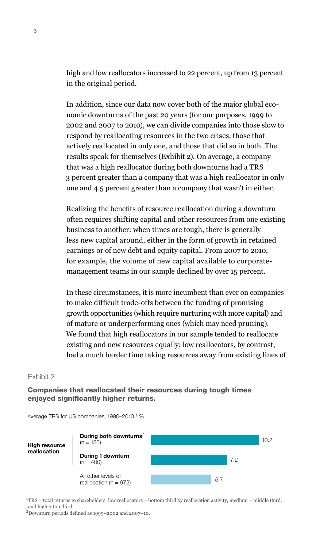high and low reallocators increased to 22 percent, up from 13 percent in the original period.

In addition, since our data now cover both of the major global economic downturns of the past 20 years (for our purposes, 1999 to 2002 and 2007 to 2010), we can divide companies into those slow to respond by reallocating resources in the two crises, those that actively reallocated in only one, and those that did so in both. The results speak for themselves (Exhibit 2). On average, a company that was a high reallocator during both downturns had a TRS 3 percent greater than a company that was a high reallocator in only one and 4.5 percent greater than a company that wasn't in either.

Realizing the benefits of resource reallocation during a downturn often requires shifting capital and other resources from one existing business to another: when times are tough, there is generally less new capital around, either in the form of growth in retained earnings or of new debt and equity capital. From 2007 to 2010, for example, the volume of new capital available to corporatemanagement teams in our sample declined by over 15 percent.

In these circumstances, it is more incumbent than ever on companies to make difficult trade-offs between the funding of promising growth opportunities (which require nurturing with more capital) and of mature or underperforming ones (which may need pruning). We found that high reallocators in our sample tended to reallocate  $\alpha$  existing and new resources equally; low reallocators, by contrast, had a much harder time taking resources away from existing lines of Exhibit 2 of 3

#### Exhibit 2

Companies that reallocated their resources during tough times enjoyed significantly higher returns.

Average TRS for US companies, 1990-2010,<sup>1</sup> %



 ${}^{1}$ TRS = total returns to shareholders; low reallocators = bottom third by reallocation activity, medium = middle third, and high = top third.

2Downturn periods defined as 1999–2002 and 2007–10.